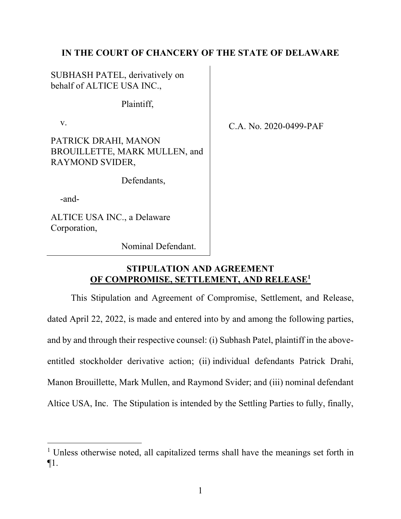# **IN THE COURT OF CHANCERY OF THE STATE OF DELAWARE**

SUBHASH PATEL, derivatively on behalf of ALTICE USA INC.,

Plaintiff,

v.

PATRICK DRAHI, MANON BROUILLETTE, MARK MULLEN, and RAYMOND SVIDER,

Defendants,

-and-

ALTICE USA INC., a Delaware Corporation,

C.A. No. 2020-0499-PAF

Nominal Defendant.

# **STIPULATION AND AGREEMENT OF COMPROMISE, SETTLEMENT, AND RELEASE1**

This Stipulation and Agreement of Compromise, Settlement, and Release, dated April 22, 2022, is made and entered into by and among the following parties, and by and through their respective counsel: (i) Subhash Patel, plaintiff in the aboveentitled stockholder derivative action; (ii) individual defendants Patrick Drahi, Manon Brouillette, Mark Mullen, and Raymond Svider; and (iii) nominal defendant Altice USA, Inc. The Stipulation is intended by the Settling Parties to fully, finally,

<sup>&</sup>lt;sup>1</sup> Unless otherwise noted, all capitalized terms shall have the meanings set forth in ¶1.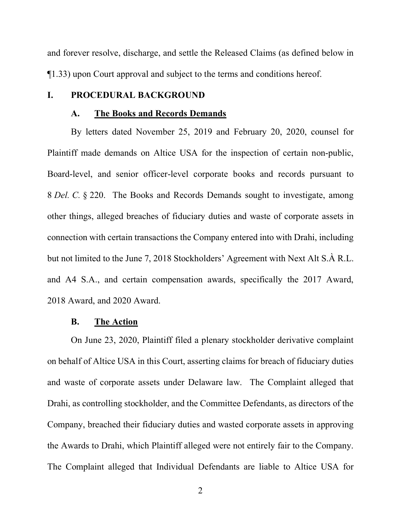and forever resolve, discharge, and settle the Released Claims (as defined below in ¶1.33) upon Court approval and subject to the terms and conditions hereof.

## **I. PROCEDURAL BACKGROUND**

#### **A. The Books and Records Demands**

By letters dated November 25, 2019 and February 20, 2020, counsel for Plaintiff made demands on Altice USA for the inspection of certain non-public, Board-level, and senior officer-level corporate books and records pursuant to 8 *Del. C.* § 220. The Books and Records Demands sought to investigate, among other things, alleged breaches of fiduciary duties and waste of corporate assets in connection with certain transactions the Company entered into with Drahi, including but not limited to the June 7, 2018 Stockholders' Agreement with Next Alt S.À R.L. and A4 S.A., and certain compensation awards, specifically the 2017 Award, 2018 Award, and 2020 Award.

## **B. The Action**

On June 23, 2020, Plaintiff filed a plenary stockholder derivative complaint on behalf of Altice USA in this Court, asserting claims for breach of fiduciary duties and waste of corporate assets under Delaware law. The Complaint alleged that Drahi, as controlling stockholder, and the Committee Defendants, as directors of the Company, breached their fiduciary duties and wasted corporate assets in approving the Awards to Drahi, which Plaintiff alleged were not entirely fair to the Company. The Complaint alleged that Individual Defendants are liable to Altice USA for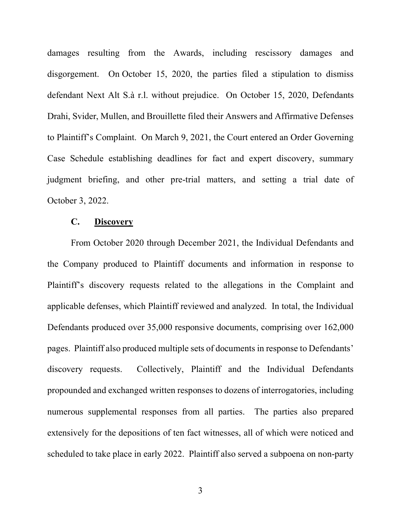damages resulting from the Awards, including rescissory damages and disgorgement. On October 15, 2020, the parties filed a stipulation to dismiss defendant Next Alt S.à r.l. without prejudice. On October 15, 2020, Defendants Drahi, Svider, Mullen, and Brouillette filed their Answers and Affirmative Defenses to Plaintiff's Complaint. On March 9, 2021, the Court entered an Order Governing Case Schedule establishing deadlines for fact and expert discovery, summary judgment briefing, and other pre-trial matters, and setting a trial date of October 3, 2022.

## **C. Discovery**

From October 2020 through December 2021, the Individual Defendants and the Company produced to Plaintiff documents and information in response to Plaintiff's discovery requests related to the allegations in the Complaint and applicable defenses, which Plaintiff reviewed and analyzed. In total, the Individual Defendants produced over 35,000 responsive documents, comprising over 162,000 pages. Plaintiff also produced multiple sets of documents in response to Defendants' discovery requests. Collectively, Plaintiff and the Individual Defendants propounded and exchanged written responses to dozens of interrogatories, including numerous supplemental responses from all parties. The parties also prepared extensively for the depositions of ten fact witnesses, all of which were noticed and scheduled to take place in early 2022. Plaintiff also served a subpoena on non-party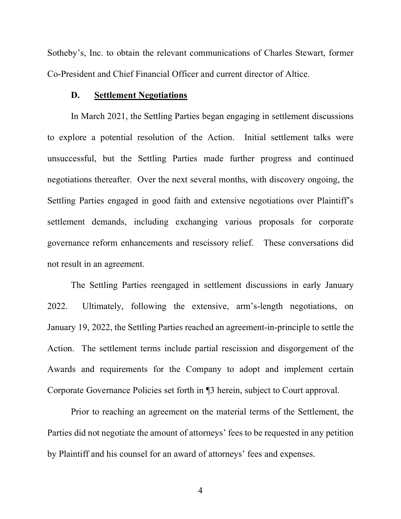Sotheby's, Inc. to obtain the relevant communications of Charles Stewart, former Co-President and Chief Financial Officer and current director of Altice.

### **D. Settlement Negotiations**

In March 2021, the Settling Parties began engaging in settlement discussions to explore a potential resolution of the Action. Initial settlement talks were unsuccessful, but the Settling Parties made further progress and continued negotiations thereafter. Over the next several months, with discovery ongoing, the Settling Parties engaged in good faith and extensive negotiations over Plaintiff's settlement demands, including exchanging various proposals for corporate governance reform enhancements and rescissory relief. These conversations did not result in an agreement.

The Settling Parties reengaged in settlement discussions in early January 2022. Ultimately, following the extensive, arm's-length negotiations, on January 19, 2022, the Settling Parties reached an agreement-in-principle to settle the Action. The settlement terms include partial rescission and disgorgement of the Awards and requirements for the Company to adopt and implement certain Corporate Governance Policies set forth in ¶3 herein, subject to Court approval.

Prior to reaching an agreement on the material terms of the Settlement, the Parties did not negotiate the amount of attorneys' fees to be requested in any petition by Plaintiff and his counsel for an award of attorneys' fees and expenses.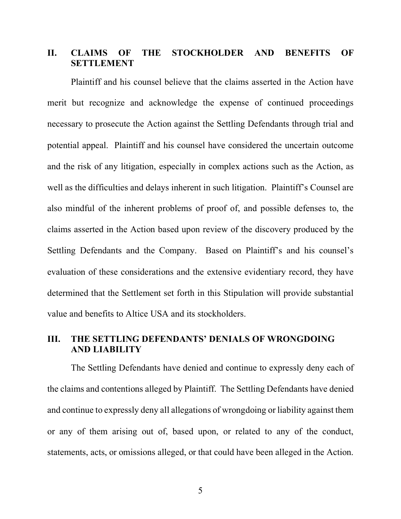# **II. CLAIMS OF THE STOCKHOLDER AND BENEFITS OF SETTLEMENT**

Plaintiff and his counsel believe that the claims asserted in the Action have merit but recognize and acknowledge the expense of continued proceedings necessary to prosecute the Action against the Settling Defendants through trial and potential appeal. Plaintiff and his counsel have considered the uncertain outcome and the risk of any litigation, especially in complex actions such as the Action, as well as the difficulties and delays inherent in such litigation. Plaintiff's Counsel are also mindful of the inherent problems of proof of, and possible defenses to, the claims asserted in the Action based upon review of the discovery produced by the Settling Defendants and the Company. Based on Plaintiff's and his counsel's evaluation of these considerations and the extensive evidentiary record, they have determined that the Settlement set forth in this Stipulation will provide substantial value and benefits to Altice USA and its stockholders.

# **III. THE SETTLING DEFENDANTS' DENIALS OF WRONGDOING AND LIABILITY**

The Settling Defendants have denied and continue to expressly deny each of the claims and contentions alleged by Plaintiff. The Settling Defendants have denied and continue to expressly deny all allegations of wrongdoing or liability against them or any of them arising out of, based upon, or related to any of the conduct, statements, acts, or omissions alleged, or that could have been alleged in the Action.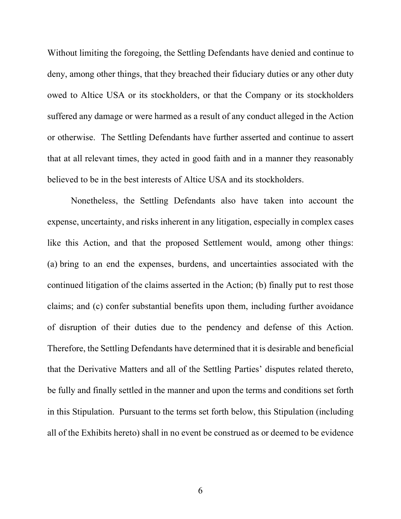Without limiting the foregoing, the Settling Defendants have denied and continue to deny, among other things, that they breached their fiduciary duties or any other duty owed to Altice USA or its stockholders, or that the Company or its stockholders suffered any damage or were harmed as a result of any conduct alleged in the Action or otherwise. The Settling Defendants have further asserted and continue to assert that at all relevant times, they acted in good faith and in a manner they reasonably believed to be in the best interests of Altice USA and its stockholders.

Nonetheless, the Settling Defendants also have taken into account the expense, uncertainty, and risks inherent in any litigation, especially in complex cases like this Action, and that the proposed Settlement would, among other things: (a) bring to an end the expenses, burdens, and uncertainties associated with the continued litigation of the claims asserted in the Action; (b) finally put to rest those claims; and (c) confer substantial benefits upon them, including further avoidance of disruption of their duties due to the pendency and defense of this Action. Therefore, the Settling Defendants have determined that it is desirable and beneficial that the Derivative Matters and all of the Settling Parties' disputes related thereto, be fully and finally settled in the manner and upon the terms and conditions set forth in this Stipulation. Pursuant to the terms set forth below, this Stipulation (including all of the Exhibits hereto) shall in no event be construed as or deemed to be evidence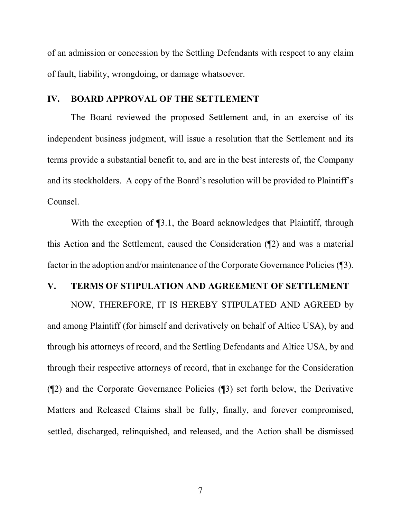of an admission or concession by the Settling Defendants with respect to any claim of fault, liability, wrongdoing, or damage whatsoever.

## **IV. BOARD APPROVAL OF THE SETTLEMENT**

The Board reviewed the proposed Settlement and, in an exercise of its independent business judgment, will issue a resolution that the Settlement and its terms provide a substantial benefit to, and are in the best interests of, the Company and its stockholders. A copy of the Board's resolution will be provided to Plaintiff's Counsel.

With the exception of  $\P$ 3.1, the Board acknowledges that Plaintiff, through this Action and the Settlement, caused the Consideration (¶2) and was a material factor in the adoption and/or maintenance of the Corporate Governance Policies (¶3).

## **V. TERMS OF STIPULATION AND AGREEMENT OF SETTLEMENT**

NOW, THEREFORE, IT IS HEREBY STIPULATED AND AGREED by and among Plaintiff (for himself and derivatively on behalf of Altice USA), by and through his attorneys of record, and the Settling Defendants and Altice USA, by and through their respective attorneys of record, that in exchange for the Consideration (¶2) and the Corporate Governance Policies (¶3) set forth below, the Derivative Matters and Released Claims shall be fully, finally, and forever compromised, settled, discharged, relinquished, and released, and the Action shall be dismissed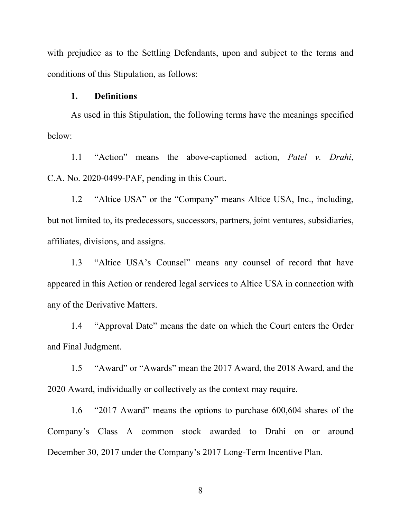with prejudice as to the Settling Defendants, upon and subject to the terms and conditions of this Stipulation, as follows:

#### **1. Definitions**

As used in this Stipulation, the following terms have the meanings specified below:

1.1 "Action" means the above-captioned action, *Patel v. Drahi*, C.A. No. 2020-0499-PAF, pending in this Court.

1.2 "Altice USA" or the "Company" means Altice USA, Inc., including, but not limited to, its predecessors, successors, partners, joint ventures, subsidiaries, affiliates, divisions, and assigns.

1.3 "Altice USA's Counsel" means any counsel of record that have appeared in this Action or rendered legal services to Altice USA in connection with any of the Derivative Matters.

1.4 "Approval Date" means the date on which the Court enters the Order and Final Judgment.

1.5 "Award" or "Awards" mean the 2017 Award, the 2018 Award, and the 2020 Award, individually or collectively as the context may require.

1.6 "2017 Award" means the options to purchase 600,604 shares of the Company's Class A common stock awarded to Drahi on or around December 30, 2017 under the Company's 2017 Long-Term Incentive Plan.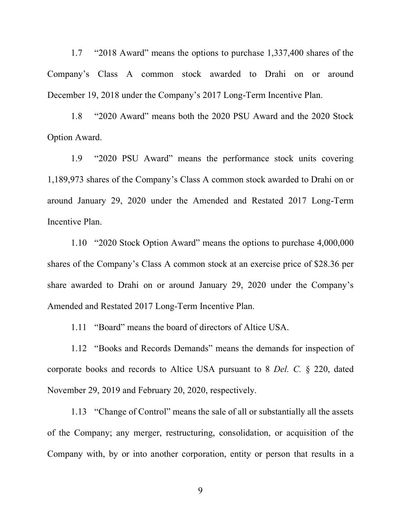1.7 "2018 Award" means the options to purchase 1,337,400 shares of the Company's Class A common stock awarded to Drahi on or around December 19, 2018 under the Company's 2017 Long-Term Incentive Plan.

1.8 "2020 Award" means both the 2020 PSU Award and the 2020 Stock Option Award.

1.9 "2020 PSU Award" means the performance stock units covering 1,189,973 shares of the Company's Class A common stock awarded to Drahi on or around January 29, 2020 under the Amended and Restated 2017 Long-Term Incentive Plan.

1.10 "2020 Stock Option Award" means the options to purchase 4,000,000 shares of the Company's Class A common stock at an exercise price of \$28.36 per share awarded to Drahi on or around January 29, 2020 under the Company's Amended and Restated 2017 Long-Term Incentive Plan.

1.11 "Board" means the board of directors of Altice USA.

1.12 "Books and Records Demands" means the demands for inspection of corporate books and records to Altice USA pursuant to 8 *Del. C.* § 220, dated November 29, 2019 and February 20, 2020, respectively.

1.13 "Change of Control" means the sale of all or substantially all the assets of the Company; any merger, restructuring, consolidation, or acquisition of the Company with, by or into another corporation, entity or person that results in a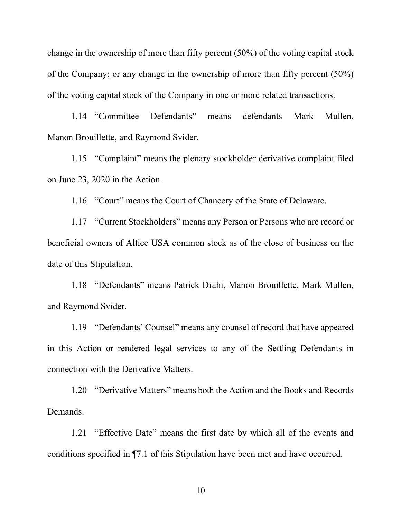change in the ownership of more than fifty percent (50%) of the voting capital stock of the Company; or any change in the ownership of more than fifty percent (50%) of the voting capital stock of the Company in one or more related transactions.

1.14 "Committee Defendants" means defendants Mark Mullen, Manon Brouillette, and Raymond Svider.

1.15 "Complaint" means the plenary stockholder derivative complaint filed on June 23, 2020 in the Action.

1.16 "Court" means the Court of Chancery of the State of Delaware.

1.17 "Current Stockholders" means any Person or Persons who are record or beneficial owners of Altice USA common stock as of the close of business on the date of this Stipulation.

1.18 "Defendants" means Patrick Drahi, Manon Brouillette, Mark Mullen, and Raymond Svider.

1.19 "Defendants' Counsel" means any counsel of record that have appeared in this Action or rendered legal services to any of the Settling Defendants in connection with the Derivative Matters.

1.20 "Derivative Matters" means both the Action and the Books and Records Demands.

1.21 "Effective Date" means the first date by which all of the events and conditions specified in ¶7.1 of this Stipulation have been met and have occurred.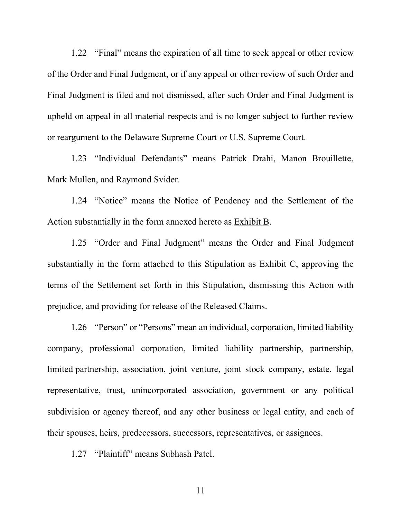1.22 "Final" means the expiration of all time to seek appeal or other review of the Order and Final Judgment, or if any appeal or other review of such Order and Final Judgment is filed and not dismissed, after such Order and Final Judgment is upheld on appeal in all material respects and is no longer subject to further review or reargument to the Delaware Supreme Court or U.S. Supreme Court.

1.23 "Individual Defendants" means Patrick Drahi, Manon Brouillette, Mark Mullen, and Raymond Svider.

1.24 "Notice" means the Notice of Pendency and the Settlement of the Action substantially in the form annexed hereto as Exhibit B.

1.25 "Order and Final Judgment" means the Order and Final Judgment substantially in the form attached to this Stipulation as Exhibit C, approving the terms of the Settlement set forth in this Stipulation, dismissing this Action with prejudice, and providing for release of the Released Claims.

1.26 "Person" or "Persons" mean an individual, corporation, limited liability company, professional corporation, limited liability partnership, partnership, limited partnership, association, joint venture, joint stock company, estate, legal representative, trust, unincorporated association, government or any political subdivision or agency thereof, and any other business or legal entity, and each of their spouses, heirs, predecessors, successors, representatives, or assignees.

1.27 "Plaintiff" means Subhash Patel.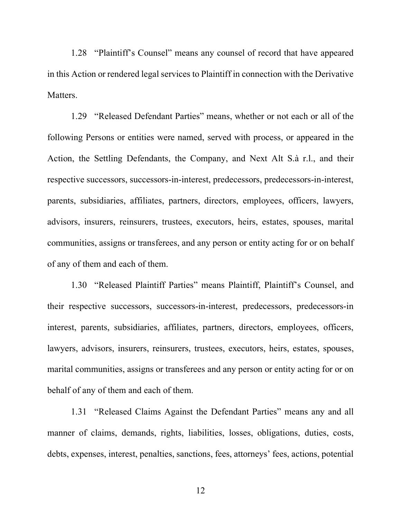1.28 "Plaintiff's Counsel" means any counsel of record that have appeared in this Action or rendered legal services to Plaintiff in connection with the Derivative Matters.

1.29 "Released Defendant Parties" means, whether or not each or all of the following Persons or entities were named, served with process, or appeared in the Action, the Settling Defendants, the Company, and Next Alt S.à r.l., and their respective successors, successors-in-interest, predecessors, predecessors-in-interest, parents, subsidiaries, affiliates, partners, directors, employees, officers, lawyers, advisors, insurers, reinsurers, trustees, executors, heirs, estates, spouses, marital communities, assigns or transferees, and any person or entity acting for or on behalf of any of them and each of them.

1.30 "Released Plaintiff Parties" means Plaintiff, Plaintiff's Counsel, and their respective successors, successors-in-interest, predecessors, predecessors-in interest, parents, subsidiaries, affiliates, partners, directors, employees, officers, lawyers, advisors, insurers, reinsurers, trustees, executors, heirs, estates, spouses, marital communities, assigns or transferees and any person or entity acting for or on behalf of any of them and each of them.

1.31 "Released Claims Against the Defendant Parties" means any and all manner of claims, demands, rights, liabilities, losses, obligations, duties, costs, debts, expenses, interest, penalties, sanctions, fees, attorneys' fees, actions, potential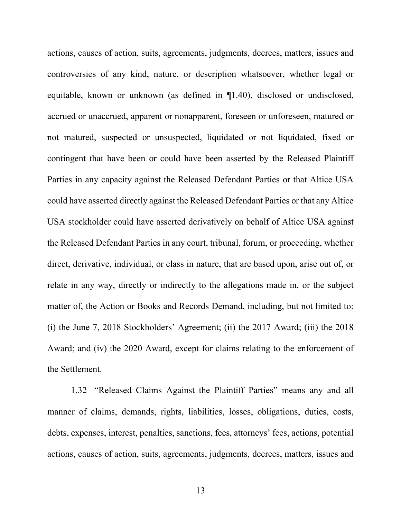actions, causes of action, suits, agreements, judgments, decrees, matters, issues and controversies of any kind, nature, or description whatsoever, whether legal or equitable, known or unknown (as defined in ¶1.40), disclosed or undisclosed, accrued or unaccrued, apparent or nonapparent, foreseen or unforeseen, matured or not matured, suspected or unsuspected, liquidated or not liquidated, fixed or contingent that have been or could have been asserted by the Released Plaintiff Parties in any capacity against the Released Defendant Parties or that Altice USA could have asserted directly against the Released Defendant Parties or that any Altice USA stockholder could have asserted derivatively on behalf of Altice USA against the Released Defendant Parties in any court, tribunal, forum, or proceeding, whether direct, derivative, individual, or class in nature, that are based upon, arise out of, or relate in any way, directly or indirectly to the allegations made in, or the subject matter of, the Action or Books and Records Demand, including, but not limited to: (i) the June 7, 2018 Stockholders' Agreement; (ii) the 2017 Award; (iii) the 2018 Award; and (iv) the 2020 Award, except for claims relating to the enforcement of the Settlement.

1.32 "Released Claims Against the Plaintiff Parties" means any and all manner of claims, demands, rights, liabilities, losses, obligations, duties, costs, debts, expenses, interest, penalties, sanctions, fees, attorneys' fees, actions, potential actions, causes of action, suits, agreements, judgments, decrees, matters, issues and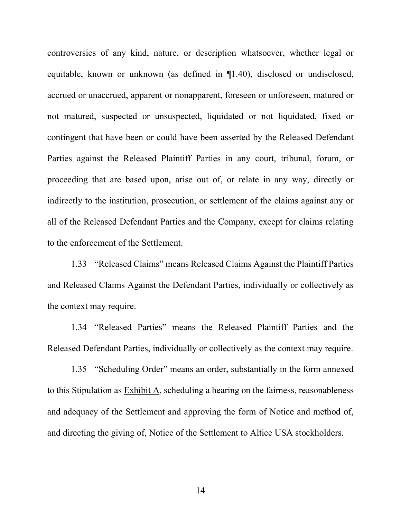controversies of any kind, nature, or description whatsoever, whether legal or equitable, known or unknown (as defined in ¶1.40), disclosed or undisclosed, accrued or unaccrued, apparent or nonapparent, foreseen or unforeseen, matured or not matured, suspected or unsuspected, liquidated or not liquidated, fixed or contingent that have been or could have been asserted by the Released Defendant Parties against the Released Plaintiff Parties in any court, tribunal, forum, or proceeding that are based upon, arise out of, or relate in any way, directly or indirectly to the institution, prosecution, or settlement of the claims against any or all of the Released Defendant Parties and the Company, except for claims relating to the enforcement of the Settlement.

1.33 "Released Claims" means Released Claims Against the Plaintiff Parties and Released Claims Against the Defendant Parties, individually or collectively as the context may require.

1.34 "Released Parties" means the Released Plaintiff Parties and the Released Defendant Parties, individually or collectively as the context may require.

1.35 "Scheduling Order" means an order, substantially in the form annexed to this Stipulation as Exhibit A, scheduling a hearing on the fairness, reasonableness and adequacy of the Settlement and approving the form of Notice and method of, and directing the giving of, Notice of the Settlement to Altice USA stockholders.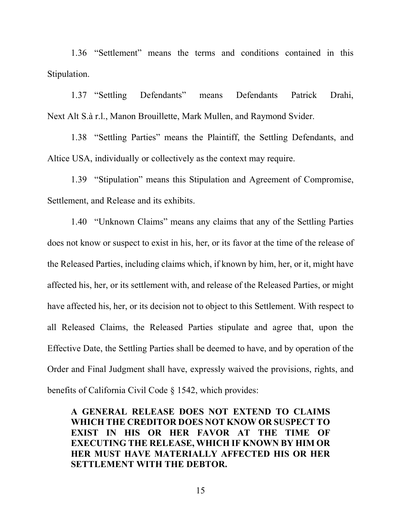1.36 "Settlement" means the terms and conditions contained in this Stipulation.

1.37 "Settling Defendants" means Defendants Patrick Drahi, Next Alt S.à r.l., Manon Brouillette, Mark Mullen, and Raymond Svider.

1.38 "Settling Parties" means the Plaintiff, the Settling Defendants, and Altice USA, individually or collectively as the context may require.

1.39 "Stipulation" means this Stipulation and Agreement of Compromise, Settlement, and Release and its exhibits.

1.40 "Unknown Claims" means any claims that any of the Settling Parties does not know or suspect to exist in his, her, or its favor at the time of the release of the Released Parties, including claims which, if known by him, her, or it, might have affected his, her, or its settlement with, and release of the Released Parties, or might have affected his, her, or its decision not to object to this Settlement. With respect to all Released Claims, the Released Parties stipulate and agree that, upon the Effective Date, the Settling Parties shall be deemed to have, and by operation of the Order and Final Judgment shall have, expressly waived the provisions, rights, and benefits of California Civil Code § 1542, which provides:

**A GENERAL RELEASE DOES NOT EXTEND TO CLAIMS WHICH THE CREDITOR DOES NOT KNOW OR SUSPECT TO EXIST IN HIS OR HER FAVOR AT THE TIME OF EXECUTING THE RELEASE, WHICH IF KNOWN BY HIM OR HER MUST HAVE MATERIALLY AFFECTED HIS OR HER SETTLEMENT WITH THE DEBTOR.**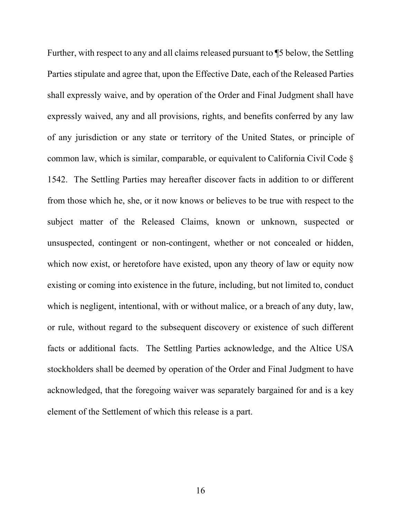Further, with respect to any and all claims released pursuant to ¶5 below, the Settling Parties stipulate and agree that, upon the Effective Date, each of the Released Parties shall expressly waive, and by operation of the Order and Final Judgment shall have expressly waived, any and all provisions, rights, and benefits conferred by any law of any jurisdiction or any state or territory of the United States, or principle of common law, which is similar, comparable, or equivalent to California Civil Code § 1542. The Settling Parties may hereafter discover facts in addition to or different from those which he, she, or it now knows or believes to be true with respect to the subject matter of the Released Claims, known or unknown, suspected or unsuspected, contingent or non-contingent, whether or not concealed or hidden, which now exist, or heretofore have existed, upon any theory of law or equity now existing or coming into existence in the future, including, but not limited to, conduct which is negligent, intentional, with or without malice, or a breach of any duty, law, or rule, without regard to the subsequent discovery or existence of such different facts or additional facts. The Settling Parties acknowledge, and the Altice USA stockholders shall be deemed by operation of the Order and Final Judgment to have acknowledged, that the foregoing waiver was separately bargained for and is a key element of the Settlement of which this release is a part.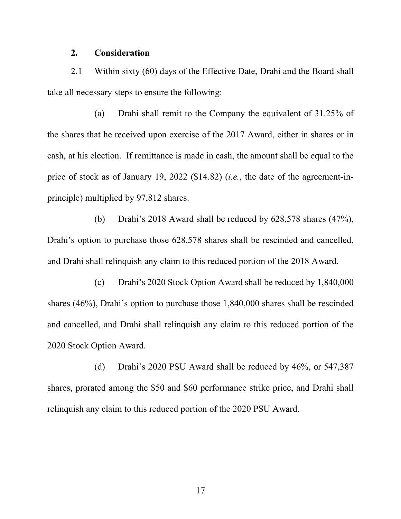#### **2. Consideration**

2.1 Within sixty (60) days of the Effective Date, Drahi and the Board shall take all necessary steps to ensure the following:

(a) Drahi shall remit to the Company the equivalent of 31.25% of the shares that he received upon exercise of the 2017 Award, either in shares or in cash, at his election. If remittance is made in cash, the amount shall be equal to the price of stock as of January 19, 2022 (\$14.82) (*i.e.*, the date of the agreement-inprinciple) multiplied by 97,812 shares.

(b) Drahi's 2018 Award shall be reduced by 628,578 shares (47%), Drahi's option to purchase those 628,578 shares shall be rescinded and cancelled, and Drahi shall relinquish any claim to this reduced portion of the 2018 Award.

(c) Drahi's 2020 Stock Option Award shall be reduced by 1,840,000 shares (46%), Drahi's option to purchase those 1,840,000 shares shall be rescinded and cancelled, and Drahi shall relinquish any claim to this reduced portion of the 2020 Stock Option Award.

(d) Drahi's 2020 PSU Award shall be reduced by 46%, or 547,387 shares, prorated among the \$50 and \$60 performance strike price, and Drahi shall relinquish any claim to this reduced portion of the 2020 PSU Award.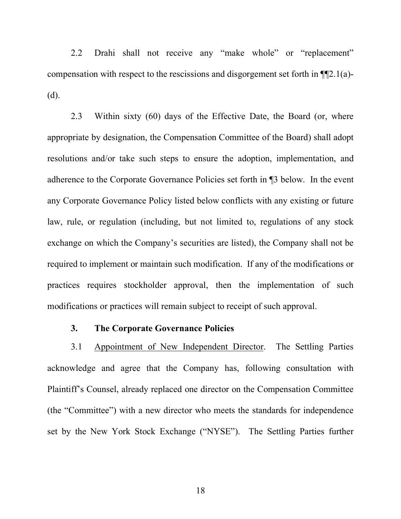2.2 Drahi shall not receive any "make whole" or "replacement" compensation with respect to the rescissions and disgorgement set forth in ¶¶2.1(a)- (d).

2.3 Within sixty (60) days of the Effective Date, the Board (or, where appropriate by designation, the Compensation Committee of the Board) shall adopt resolutions and/or take such steps to ensure the adoption, implementation, and adherence to the Corporate Governance Policies set forth in ¶3 below. In the event any Corporate Governance Policy listed below conflicts with any existing or future law, rule, or regulation (including, but not limited to, regulations of any stock exchange on which the Company's securities are listed), the Company shall not be required to implement or maintain such modification. If any of the modifications or practices requires stockholder approval, then the implementation of such modifications or practices will remain subject to receipt of such approval.

## **3. The Corporate Governance Policies**

3.1 Appointment of New Independent Director. The Settling Parties acknowledge and agree that the Company has, following consultation with Plaintiff's Counsel, already replaced one director on the Compensation Committee (the "Committee") with a new director who meets the standards for independence set by the New York Stock Exchange ("NYSE"). The Settling Parties further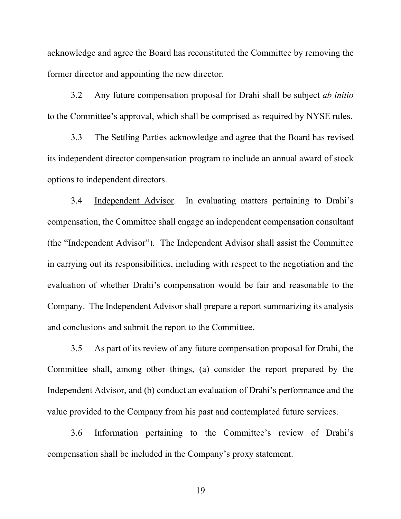acknowledge and agree the Board has reconstituted the Committee by removing the former director and appointing the new director.

3.2 Any future compensation proposal for Drahi shall be subject *ab initio* to the Committee's approval, which shall be comprised as required by NYSE rules.

3.3 The Settling Parties acknowledge and agree that the Board has revised its independent director compensation program to include an annual award of stock options to independent directors.

3.4 Independent Advisor. In evaluating matters pertaining to Drahi's compensation, the Committee shall engage an independent compensation consultant (the "Independent Advisor"). The Independent Advisor shall assist the Committee in carrying out its responsibilities, including with respect to the negotiation and the evaluation of whether Drahi's compensation would be fair and reasonable to the Company. The Independent Advisor shall prepare a report summarizing its analysis and conclusions and submit the report to the Committee.

3.5 As part of its review of any future compensation proposal for Drahi, the Committee shall, among other things, (a) consider the report prepared by the Independent Advisor, and (b) conduct an evaluation of Drahi's performance and the value provided to the Company from his past and contemplated future services.

3.6 Information pertaining to the Committee's review of Drahi's compensation shall be included in the Company's proxy statement.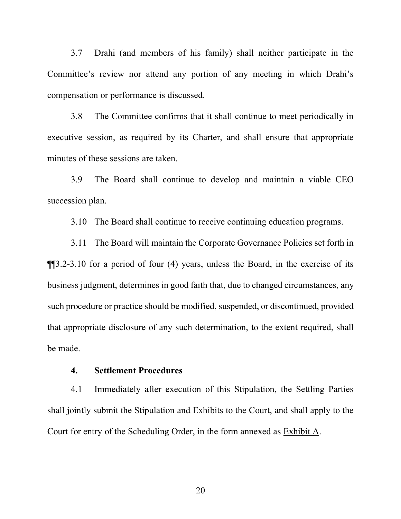3.7 Drahi (and members of his family) shall neither participate in the Committee's review nor attend any portion of any meeting in which Drahi's compensation or performance is discussed.

3.8 The Committee confirms that it shall continue to meet periodically in executive session, as required by its Charter, and shall ensure that appropriate minutes of these sessions are taken.

3.9 The Board shall continue to develop and maintain a viable CEO succession plan.

3.10 The Board shall continue to receive continuing education programs.

3.11 The Board will maintain the Corporate Governance Policies set forth in ¶¶3.2-3.10 for a period of four (4) years, unless the Board, in the exercise of its business judgment, determines in good faith that, due to changed circumstances, any such procedure or practice should be modified, suspended, or discontinued, provided that appropriate disclosure of any such determination, to the extent required, shall be made.

### **4. Settlement Procedures**

4.1 Immediately after execution of this Stipulation, the Settling Parties shall jointly submit the Stipulation and Exhibits to the Court, and shall apply to the Court for entry of the Scheduling Order, in the form annexed as Exhibit A.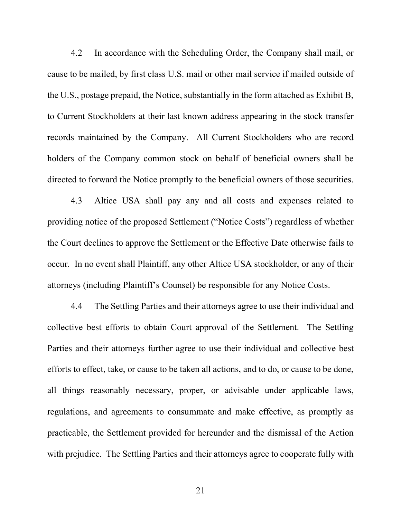4.2 In accordance with the Scheduling Order, the Company shall mail, or cause to be mailed, by first class U.S. mail or other mail service if mailed outside of the U.S., postage prepaid, the Notice, substantially in the form attached as Exhibit B, to Current Stockholders at their last known address appearing in the stock transfer records maintained by the Company. All Current Stockholders who are record holders of the Company common stock on behalf of beneficial owners shall be directed to forward the Notice promptly to the beneficial owners of those securities.

4.3 Altice USA shall pay any and all costs and expenses related to providing notice of the proposed Settlement ("Notice Costs") regardless of whether the Court declines to approve the Settlement or the Effective Date otherwise fails to occur. In no event shall Plaintiff, any other Altice USA stockholder, or any of their attorneys (including Plaintiff's Counsel) be responsible for any Notice Costs.

4.4 The Settling Parties and their attorneys agree to use their individual and collective best efforts to obtain Court approval of the Settlement. The Settling Parties and their attorneys further agree to use their individual and collective best efforts to effect, take, or cause to be taken all actions, and to do, or cause to be done, all things reasonably necessary, proper, or advisable under applicable laws, regulations, and agreements to consummate and make effective, as promptly as practicable, the Settlement provided for hereunder and the dismissal of the Action with prejudice. The Settling Parties and their attorneys agree to cooperate fully with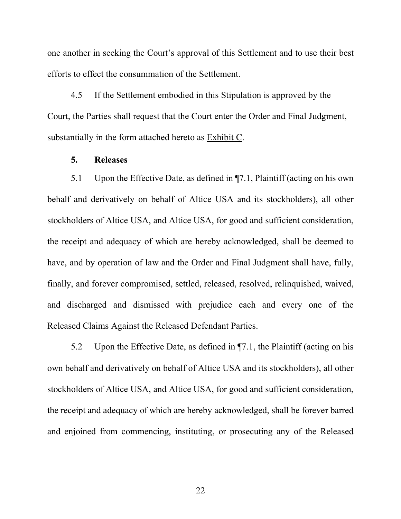one another in seeking the Court's approval of this Settlement and to use their best efforts to effect the consummation of the Settlement.

4.5 If the Settlement embodied in this Stipulation is approved by the Court, the Parties shall request that the Court enter the Order and Final Judgment, substantially in the form attached hereto as Exhibit C.

# **5. Releases**

5.1 Upon the Effective Date, as defined in ¶7.1, Plaintiff (acting on his own behalf and derivatively on behalf of Altice USA and its stockholders), all other stockholders of Altice USA, and Altice USA, for good and sufficient consideration, the receipt and adequacy of which are hereby acknowledged, shall be deemed to have, and by operation of law and the Order and Final Judgment shall have, fully, finally, and forever compromised, settled, released, resolved, relinquished, waived, and discharged and dismissed with prejudice each and every one of the Released Claims Against the Released Defendant Parties.

5.2 Upon the Effective Date, as defined in ¶7.1, the Plaintiff (acting on his own behalf and derivatively on behalf of Altice USA and its stockholders), all other stockholders of Altice USA, and Altice USA, for good and sufficient consideration, the receipt and adequacy of which are hereby acknowledged, shall be forever barred and enjoined from commencing, instituting, or prosecuting any of the Released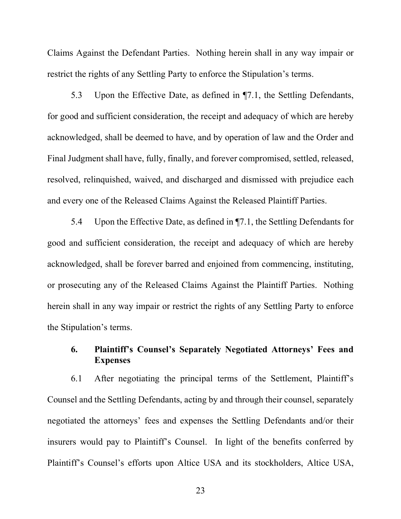Claims Against the Defendant Parties. Nothing herein shall in any way impair or restrict the rights of any Settling Party to enforce the Stipulation's terms.

5.3 Upon the Effective Date, as defined in ¶7.1, the Settling Defendants, for good and sufficient consideration, the receipt and adequacy of which are hereby acknowledged, shall be deemed to have, and by operation of law and the Order and Final Judgment shall have, fully, finally, and forever compromised, settled, released, resolved, relinquished, waived, and discharged and dismissed with prejudice each and every one of the Released Claims Against the Released Plaintiff Parties.

5.4 Upon the Effective Date, as defined in ¶7.1, the Settling Defendants for good and sufficient consideration, the receipt and adequacy of which are hereby acknowledged, shall be forever barred and enjoined from commencing, instituting, or prosecuting any of the Released Claims Against the Plaintiff Parties. Nothing herein shall in any way impair or restrict the rights of any Settling Party to enforce the Stipulation's terms.

# **6. Plaintiff's Counsel's Separately Negotiated Attorneys' Fees and Expenses**

6.1 After negotiating the principal terms of the Settlement, Plaintiff's Counsel and the Settling Defendants, acting by and through their counsel, separately negotiated the attorneys' fees and expenses the Settling Defendants and/or their insurers would pay to Plaintiff's Counsel. In light of the benefits conferred by Plaintiff's Counsel's efforts upon Altice USA and its stockholders, Altice USA,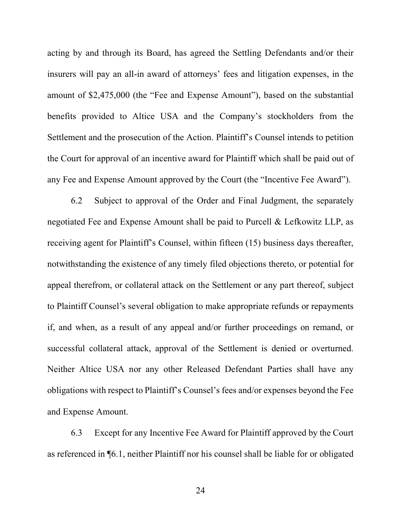acting by and through its Board, has agreed the Settling Defendants and/or their insurers will pay an all-in award of attorneys' fees and litigation expenses, in the amount of \$2,475,000 (the "Fee and Expense Amount"), based on the substantial benefits provided to Altice USA and the Company's stockholders from the Settlement and the prosecution of the Action. Plaintiff's Counsel intends to petition the Court for approval of an incentive award for Plaintiff which shall be paid out of any Fee and Expense Amount approved by the Court (the "Incentive Fee Award").

6.2 Subject to approval of the Order and Final Judgment, the separately negotiated Fee and Expense Amount shall be paid to Purcell & Lefkowitz LLP, as receiving agent for Plaintiff's Counsel, within fifteen (15) business days thereafter, notwithstanding the existence of any timely filed objections thereto, or potential for appeal therefrom, or collateral attack on the Settlement or any part thereof, subject to Plaintiff Counsel's several obligation to make appropriate refunds or repayments if, and when, as a result of any appeal and/or further proceedings on remand, or successful collateral attack, approval of the Settlement is denied or overturned. Neither Altice USA nor any other Released Defendant Parties shall have any obligations with respect to Plaintiff's Counsel's fees and/or expenses beyond the Fee and Expense Amount.

6.3 Except for any Incentive Fee Award for Plaintiff approved by the Court as referenced in ¶6.1, neither Plaintiff nor his counsel shall be liable for or obligated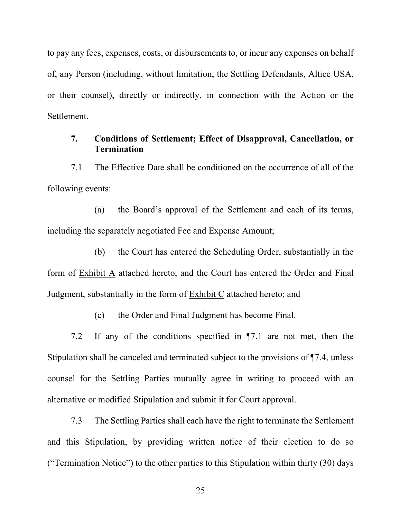to pay any fees, expenses, costs, or disbursements to, or incur any expenses on behalf of, any Person (including, without limitation, the Settling Defendants, Altice USA, or their counsel), directly or indirectly, in connection with the Action or the **Settlement** 

# **7. Conditions of Settlement; Effect of Disapproval, Cancellation, or Termination**

7.1 The Effective Date shall be conditioned on the occurrence of all of the following events:

(a) the Board's approval of the Settlement and each of its terms, including the separately negotiated Fee and Expense Amount;

(b) the Court has entered the Scheduling Order, substantially in the form of Exhibit A attached hereto; and the Court has entered the Order and Final Judgment, substantially in the form of Exhibit C attached hereto; and

(c) the Order and Final Judgment has become Final.

7.2 If any of the conditions specified in ¶7.1 are not met, then the Stipulation shall be canceled and terminated subject to the provisions of ¶7.4, unless counsel for the Settling Parties mutually agree in writing to proceed with an alternative or modified Stipulation and submit it for Court approval.

7.3 The Settling Parties shall each have the right to terminate the Settlement and this Stipulation, by providing written notice of their election to do so ("Termination Notice") to the other parties to this Stipulation within thirty (30) days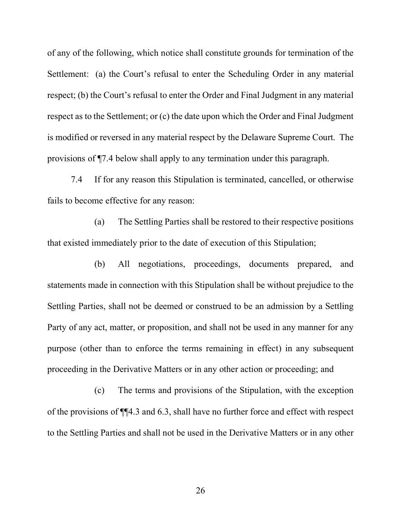of any of the following, which notice shall constitute grounds for termination of the Settlement: (a) the Court's refusal to enter the Scheduling Order in any material respect; (b) the Court's refusal to enter the Order and Final Judgment in any material respect as to the Settlement; or (c) the date upon which the Order and Final Judgment is modified or reversed in any material respect by the Delaware Supreme Court. The provisions of ¶7.4 below shall apply to any termination under this paragraph.

7.4 If for any reason this Stipulation is terminated, cancelled, or otherwise fails to become effective for any reason:

(a) The Settling Parties shall be restored to their respective positions that existed immediately prior to the date of execution of this Stipulation;

(b) All negotiations, proceedings, documents prepared, and statements made in connection with this Stipulation shall be without prejudice to the Settling Parties, shall not be deemed or construed to be an admission by a Settling Party of any act, matter, or proposition, and shall not be used in any manner for any purpose (other than to enforce the terms remaining in effect) in any subsequent proceeding in the Derivative Matters or in any other action or proceeding; and

(c) The terms and provisions of the Stipulation, with the exception of the provisions of ¶¶4.3 and 6.3, shall have no further force and effect with respect to the Settling Parties and shall not be used in the Derivative Matters or in any other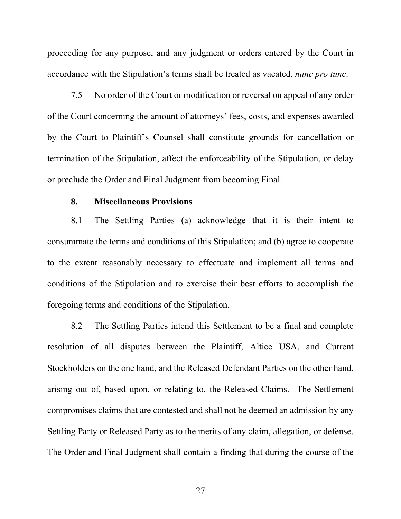proceeding for any purpose, and any judgment or orders entered by the Court in accordance with the Stipulation's terms shall be treated as vacated, *nunc pro tunc*.

7.5 No order of the Court or modification or reversal on appeal of any order of the Court concerning the amount of attorneys' fees, costs, and expenses awarded by the Court to Plaintiff's Counsel shall constitute grounds for cancellation or termination of the Stipulation, affect the enforceability of the Stipulation, or delay or preclude the Order and Final Judgment from becoming Final.

#### **8. Miscellaneous Provisions**

8.1 The Settling Parties (a) acknowledge that it is their intent to consummate the terms and conditions of this Stipulation; and (b) agree to cooperate to the extent reasonably necessary to effectuate and implement all terms and conditions of the Stipulation and to exercise their best efforts to accomplish the foregoing terms and conditions of the Stipulation.

8.2 The Settling Parties intend this Settlement to be a final and complete resolution of all disputes between the Plaintiff, Altice USA, and Current Stockholders on the one hand, and the Released Defendant Parties on the other hand, arising out of, based upon, or relating to, the Released Claims. The Settlement compromises claims that are contested and shall not be deemed an admission by any Settling Party or Released Party as to the merits of any claim, allegation, or defense. The Order and Final Judgment shall contain a finding that during the course of the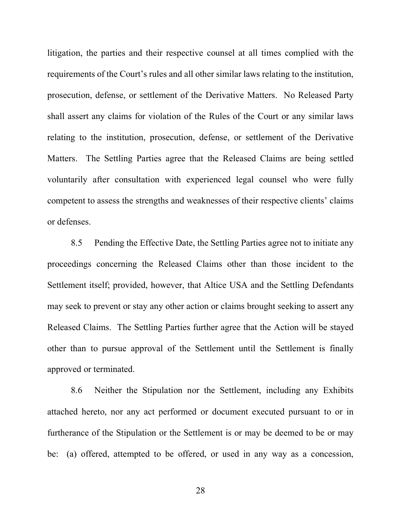litigation, the parties and their respective counsel at all times complied with the requirements of the Court's rules and all other similar laws relating to the institution, prosecution, defense, or settlement of the Derivative Matters. No Released Party shall assert any claims for violation of the Rules of the Court or any similar laws relating to the institution, prosecution, defense, or settlement of the Derivative Matters. The Settling Parties agree that the Released Claims are being settled voluntarily after consultation with experienced legal counsel who were fully competent to assess the strengths and weaknesses of their respective clients' claims or defenses.

8.5 Pending the Effective Date, the Settling Parties agree not to initiate any proceedings concerning the Released Claims other than those incident to the Settlement itself; provided, however, that Altice USA and the Settling Defendants may seek to prevent or stay any other action or claims brought seeking to assert any Released Claims. The Settling Parties further agree that the Action will be stayed other than to pursue approval of the Settlement until the Settlement is finally approved or terminated.

8.6 Neither the Stipulation nor the Settlement, including any Exhibits attached hereto, nor any act performed or document executed pursuant to or in furtherance of the Stipulation or the Settlement is or may be deemed to be or may be: (a) offered, attempted to be offered, or used in any way as a concession,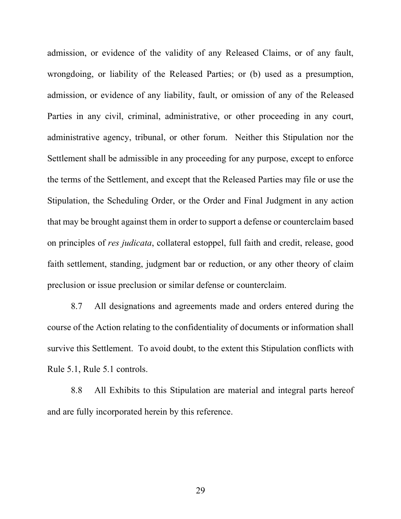admission, or evidence of the validity of any Released Claims, or of any fault, wrongdoing, or liability of the Released Parties; or (b) used as a presumption, admission, or evidence of any liability, fault, or omission of any of the Released Parties in any civil, criminal, administrative, or other proceeding in any court, administrative agency, tribunal, or other forum. Neither this Stipulation nor the Settlement shall be admissible in any proceeding for any purpose, except to enforce the terms of the Settlement, and except that the Released Parties may file or use the Stipulation, the Scheduling Order, or the Order and Final Judgment in any action that may be brought against them in order to support a defense or counterclaim based on principles of *res judicata*, collateral estoppel, full faith and credit, release, good faith settlement, standing, judgment bar or reduction, or any other theory of claim preclusion or issue preclusion or similar defense or counterclaim.

8.7 All designations and agreements made and orders entered during the course of the Action relating to the confidentiality of documents or information shall survive this Settlement. To avoid doubt, to the extent this Stipulation conflicts with Rule 5.1, Rule 5.1 controls.

8.8 All Exhibits to this Stipulation are material and integral parts hereof and are fully incorporated herein by this reference.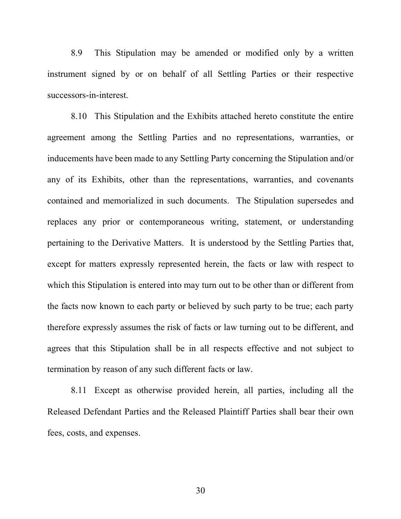8.9 This Stipulation may be amended or modified only by a written instrument signed by or on behalf of all Settling Parties or their respective successors-in-interest.

8.10 This Stipulation and the Exhibits attached hereto constitute the entire agreement among the Settling Parties and no representations, warranties, or inducements have been made to any Settling Party concerning the Stipulation and/or any of its Exhibits, other than the representations, warranties, and covenants contained and memorialized in such documents. The Stipulation supersedes and replaces any prior or contemporaneous writing, statement, or understanding pertaining to the Derivative Matters. It is understood by the Settling Parties that, except for matters expressly represented herein, the facts or law with respect to which this Stipulation is entered into may turn out to be other than or different from the facts now known to each party or believed by such party to be true; each party therefore expressly assumes the risk of facts or law turning out to be different, and agrees that this Stipulation shall be in all respects effective and not subject to termination by reason of any such different facts or law.

8.11 Except as otherwise provided herein, all parties, including all the Released Defendant Parties and the Released Plaintiff Parties shall bear their own fees, costs, and expenses.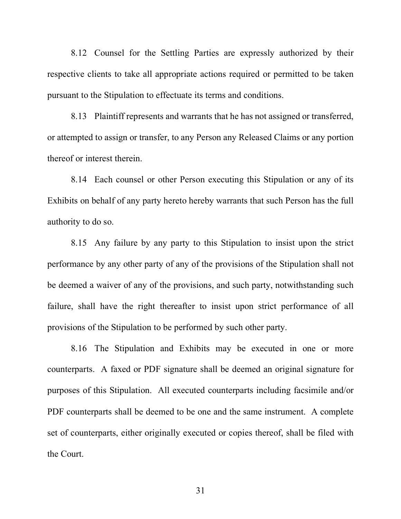8.12 Counsel for the Settling Parties are expressly authorized by their respective clients to take all appropriate actions required or permitted to be taken pursuant to the Stipulation to effectuate its terms and conditions.

8.13 Plaintiff represents and warrants that he has not assigned or transferred, or attempted to assign or transfer, to any Person any Released Claims or any portion thereof or interest therein.

8.14 Each counsel or other Person executing this Stipulation or any of its Exhibits on behalf of any party hereto hereby warrants that such Person has the full authority to do so.

8.15 Any failure by any party to this Stipulation to insist upon the strict performance by any other party of any of the provisions of the Stipulation shall not be deemed a waiver of any of the provisions, and such party, notwithstanding such failure, shall have the right thereafter to insist upon strict performance of all provisions of the Stipulation to be performed by such other party.

8.16 The Stipulation and Exhibits may be executed in one or more counterparts. A faxed or PDF signature shall be deemed an original signature for purposes of this Stipulation. All executed counterparts including facsimile and/or PDF counterparts shall be deemed to be one and the same instrument. A complete set of counterparts, either originally executed or copies thereof, shall be filed with the Court.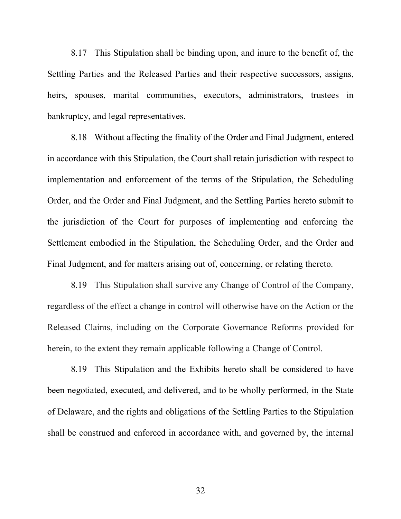8.17 This Stipulation shall be binding upon, and inure to the benefit of, the Settling Parties and the Released Parties and their respective successors, assigns, heirs, spouses, marital communities, executors, administrators, trustees in bankruptcy, and legal representatives.

8.18 Without affecting the finality of the Order and Final Judgment, entered in accordance with this Stipulation, the Court shall retain jurisdiction with respect to implementation and enforcement of the terms of the Stipulation, the Scheduling Order, and the Order and Final Judgment, and the Settling Parties hereto submit to the jurisdiction of the Court for purposes of implementing and enforcing the Settlement embodied in the Stipulation, the Scheduling Order, and the Order and Final Judgment, and for matters arising out of, concerning, or relating thereto.

8.19 This Stipulation shall survive any Change of Control of the Company, regardless of the effect a change in control will otherwise have on the Action or the Released Claims, including on the Corporate Governance Reforms provided for herein, to the extent they remain applicable following a Change of Control.

8.19 This Stipulation and the Exhibits hereto shall be considered to have been negotiated, executed, and delivered, and to be wholly performed, in the State of Delaware, and the rights and obligations of the Settling Parties to the Stipulation shall be construed and enforced in accordance with, and governed by, the internal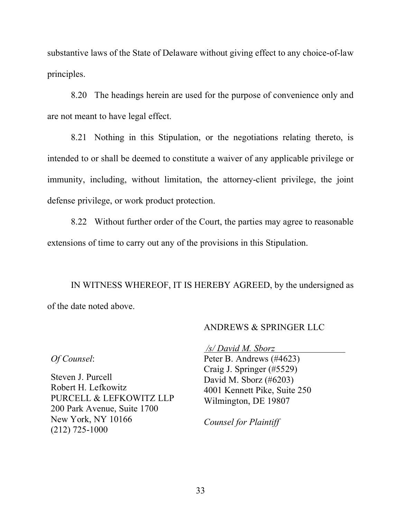substantive laws of the State of Delaware without giving effect to any choice-of-law principles.

8.20 The headings herein are used for the purpose of convenience only and are not meant to have legal effect.

8.21 Nothing in this Stipulation, or the negotiations relating thereto, is intended to or shall be deemed to constitute a waiver of any applicable privilege or immunity, including, without limitation, the attorney-client privilege, the joint defense privilege, or work product protection.

8.22 Without further order of the Court, the parties may agree to reasonable extensions of time to carry out any of the provisions in this Stipulation.

IN WITNESS WHEREOF, IT IS HEREBY AGREED, by the undersigned as of the date noted above.

### ANDREWS & SPRINGER LLC

*Of Counsel*:

Steven J. Purcell Robert H. Lefkowitz PURCELL & LEFKOWITZ LLP 200 Park Avenue, Suite 1700 New York, NY 10166 (212) 725-1000

*/s/ David M. Sborz* Peter B. Andrews (#4623) Craig J. Springer (#5529) David M. Sborz (#6203) 4001 Kennett Pike, Suite 250 Wilmington, DE 19807

*Counsel for Plaintiff*